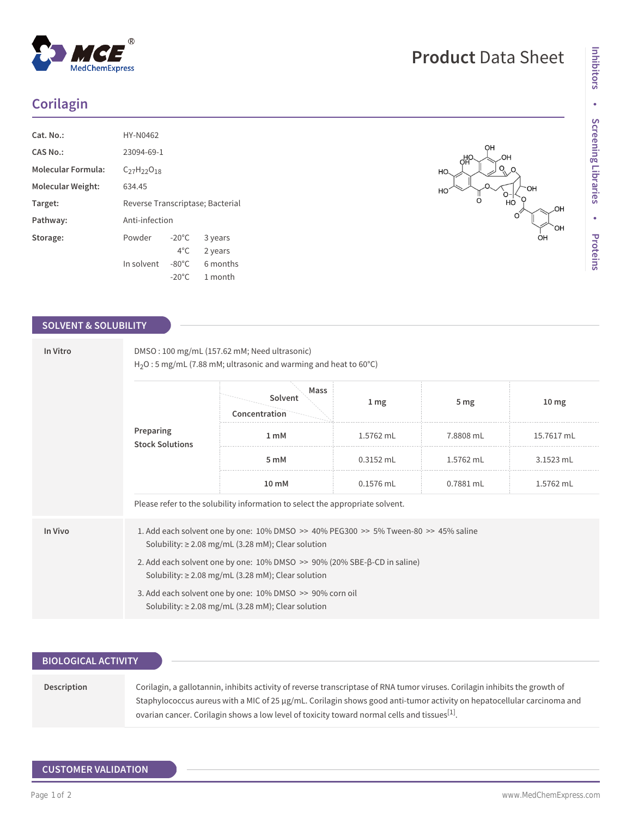# **Corilagin**

| Cat. No.:                 | HY-N0462                         |                 |          |  |
|---------------------------|----------------------------------|-----------------|----------|--|
| CAS No.                   | 23094-69-1                       |                 |          |  |
| <b>Molecular Formula:</b> | $C_{27}H_{22}O_{18}$             |                 |          |  |
| Molecular Weight:         | 634.45                           |                 |          |  |
| Target:                   | Reverse Transcriptase; Bacterial |                 |          |  |
| Pathway:                  | Anti-infection                   |                 |          |  |
| Storage:                  | Powder                           | $-20^{\circ}$ C | 3 years  |  |
|                           |                                  | $4^{\circ}$ C.  | 2 years  |  |
|                           | In solvent                       | $-80^{\circ}$ C | 6 months |  |
|                           |                                  | $-20^{\circ}$ C | 1 month  |  |

### **SOLVENT & SOLUBILITY**

| In Vitro<br>Preparing | DMSO: 100 mg/mL (157.62 mM; Need ultrasonic)<br>$H_2O: 5$ mg/mL (7.88 mM; ultrasonic and warming and heat to 60 $^{\circ}$ C)                     |                                                                                                                     |                 |                 |                  |  |  |
|-----------------------|---------------------------------------------------------------------------------------------------------------------------------------------------|---------------------------------------------------------------------------------------------------------------------|-----------------|-----------------|------------------|--|--|
|                       |                                                                                                                                                   | Mass<br>Solvent<br>Concentration                                                                                    | 1 <sub>mg</sub> | 5 <sub>mg</sub> | 10 <sub>mg</sub> |  |  |
|                       | <b>Stock Solutions</b>                                                                                                                            | 1 <sub>m</sub> M                                                                                                    | 1.5762 mL       | 7.8808 mL       | 15.7617 mL       |  |  |
|                       |                                                                                                                                                   | 5 mM                                                                                                                | $0.3152$ mL     | 1.5762 mL       | 3.1523 mL        |  |  |
|                       | 10 mM                                                                                                                                             | $0.1576$ mL                                                                                                         | 0.7881 mL       | 1.5762 mL       |                  |  |  |
|                       |                                                                                                                                                   | Please refer to the solubility information to select the appropriate solvent.                                       |                 |                 |                  |  |  |
| In Vivo               | 1. Add each solvent one by one: 10% DMSO >> 40% PEG300 >> 5% Tween-80 >> 45% saline<br>Solubility: $\geq$ 2.08 mg/mL (3.28 mM); Clear solution    |                                                                                                                     |                 |                 |                  |  |  |
|                       | 2. Add each solvent one by one: $10\%$ DMSO $\gg$ 90% (20% SBE- $\beta$ -CD in saline)<br>Solubility: $\geq$ 2.08 mg/mL (3.28 mM); Clear solution |                                                                                                                     |                 |                 |                  |  |  |
|                       |                                                                                                                                                   | 3. Add each solvent one by one: 10% DMSO >> 90% corn oil<br>Solubility: $\geq$ 2.08 mg/mL (3.28 mM); Clear solution |                 |                 |                  |  |  |

| <b>BIOLOGICAL ACTIVITY</b> |                                                                                                                             |
|----------------------------|-----------------------------------------------------------------------------------------------------------------------------|
|                            |                                                                                                                             |
|                            |                                                                                                                             |
| Description                | Corilagin, a gallotannin, inhibits activity of reverse transcriptase of RNA tumor viruses. Corilagin inhibits the growth of |
|                            | Staphylococcus aureus with a MIC of 25 µg/mL. Corilagin shows good anti-tumor activity on hepatocellular carcinoma and      |
|                            | ovarian cancer. Corilagin shows a low level of toxicity toward normal cells and tissues <sup>[1]</sup> .                    |

# $^{\circledR}$ MedChemExpress

#### OH.  $\circ$ HO OН HO  $\bigcirc$ но  $\overline{O}$ O OH OH oн

**Product** Data Sheet